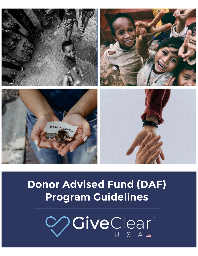

# **Donor Advised Fund (DAF) Program Guidelines**

**VOIVeClear**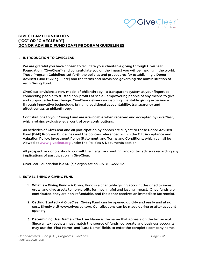

# **GIVECLEAR FOUNDATION ("GC" OR "GIVECLEAR") DONOR ADVISED FUND (DAF) PROGRAM GUIDELINES**

#### I. **INTRODUCTION TO GIVECLEAR**

We are grateful you have chosen to facilitate your charitable giving through GiveClear Foundation ("GiveClear") and congratulate you on the impact you will be making in the world. These Program Guidelines set forth the policies and procedures for establishing a Donor Advised Fund ("Giving Fund") and the terms and provisions governing the administration of each Giving Fund.

GiveClear envisions a new model of philanthropy - a transparent system at your fingertips connecting people to trusted non-profits at scale - empowering people of any means to give and support effective change. GiveClear delivers an inspiring charitable giving experience through innovative technology, bringing additional accountability, transparency and effectiveness to philanthropy.

Contributions to your Giving Fund are irrevocable when received and accepted by GiveClear, which retains exclusive legal control over contributions.

All activities of GiveClear and all participation by donors are subject to these Donor Advised Fund (DAF) Program Guidelines and the policies referenced within the Gift Acceptance and Valuation Policy, Investment Policy Statement, and Terms and Conditions, which can all be viewed at [www.giveclear.org](http://www.giveclear.org/) under the Policies & Documents section.

All prospective donors should consult their legal, accounting, and/or tax advisors regarding any implications of participation in GiveClear.

GiveClear Foundation is a 501(c)3 organization EIN: 81-3222963.

## II. **ESTABLISHING A GIVING FUND**

- 1. **What is a Giving Fund -** A Giving Fund is a charitable giving account designed to invest, grow, and give assets to non-profits for meaningful and lasting impact. Once funds are contributed, they are non-refundable, and the donor receives an immediate tax receipt.
- 2. **Getting Started -** A GiveClear Giving Fund can be opened quickly and easily and at no cost. Simply visit www.giveclear.org. Contributions can be made during or after account opening.
- 3. **Determining User Name** The User Name is the name that appears on the tax receipt. Since all tax receipts must match the source of funds, corporate and business accounts may use the "First Name" and "Last Name" fields to enter the complete company name.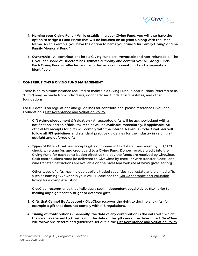

- 4. **Naming your Giving Fund** While establishing your Giving Fund, you will also have the option to assign a Fund Name that will be included on all grants, along with the User Name. As an example, you have the option to name your fund "Our Family Giving" or "The Family Memorial Fund."
- 5. **Ownership -** All contributions into a Giving Fund are irrevocable and non-refundable. The GiveClear Board of Directors has ultimate authority and control over all Giving Funds. Each Giving Fund is reflected and recorded as a component fund and is separately identifiable.

## **III. CONTRIBUTIONS & GIVING FUND MANAGEMENT**

There is no minimum balance required to maintain a Giving Fund. Contributions (referred to as "Gifts") may be made from individuals, donor advised funds, trusts, estates, and other foundations.

For full details on regulations and guidelines for contributions, please reference GiveClear Foundation's Gift Acceptance and Valuation Policy,

- 1. **Gift Acknowledgement & Valuation -** All accepted gifts will be acknowledged with a notification, and an official tax receipt will be available immediately, if applicable. All official tax receipts for gifts will comply with the Internal Revenue Code. GiveClear will follow all IRS guidelines and standard practice guidelines for the industry in valuing all outright and deferred gifts.
- 2. **Types of Gifts -** GiveClear accepts gifts of monies in US dollars transferred by EFT/ACH, check, wire transfer, and credit card to a Giving Fund. Donors receive credit into their Giving Fund for each contribution effective the day the funds are received by GiveClear. Cash contributions must be delivered to GiveClear by check or wire transfer. Check and wire transfer instructions are available on the GiveClear website at www.giveclear.org.

Other types of gifts may include publicly traded securities, real estate and planned gifts such as naming GiveClear in your will. Please see the **Gift Acceptance and Valuation** Policy for a complete listing.

GiveClear recommends that individuals seek Independent Legal Advice (ILA) prior to making any significant outright or deferred gifts.

- 3. **Gifts that Cannot Be Accepted -** GiveClear reserves the right to decline any gifts, for example a gift that does not comply with IRS regulations.
- 4. **Timing of Contributions -** Generally, the date of any contribution is the date with which the asset is received by GiveClear. If the date of the gift cannot be determined, GiveClear will follow pre-determined guidelines set out in the Gift Acceptance and Valuation Policy.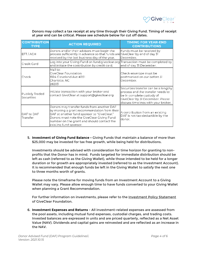

Donors may collect a tax receipt at any time through their Giving Fund. Timing of receipt at year end can be critical. Please see schedule below for cut off dates.

| <b>CONTRIBUTION</b><br><b>TYPE</b> | <b>ACTION REQUIRED</b>                                                                                                                                                                                                                                         | <b>TIMING FOR YEAR-END</b><br><b>CONTRIBUTIONS</b>                                                                                                                                |  |
|------------------------------------|----------------------------------------------------------------------------------------------------------------------------------------------------------------------------------------------------------------------------------------------------------------|-----------------------------------------------------------------------------------------------------------------------------------------------------------------------------------|--|
| EFT/ACH                            | Donors and/or their advisors must begin the<br>process sufficiently in advance so that funds are GiveClear by end of day 31<br>received by the last business day of the year.                                                                                  | Funds must be received by<br>December.                                                                                                                                            |  |
| Credit Card                        | Log into your Giving Fund on fund.giveclear.org Transaction must be completed by<br>and initiate the contribution by credit card.                                                                                                                              | end of day 31 December.                                                                                                                                                           |  |
| Check                              | Mail to:<br>GiveClear Foundation<br>1924 Cleveland Ave #201<br>Charlotte, NC<br>28203                                                                                                                                                                          | Check envelope must be<br>postmarked on our before 31<br>December.                                                                                                                |  |
| Publicly Traded<br>Securities      | Initiate transaction with your broker and<br>contact GiveClear at support@giveclear.org                                                                                                                                                                        | Securities transfer can be a lengthy<br>process and the transfer needs to<br>be in complete custody of<br>GiveClear by 31 December. Please<br>discuss timelines with your broker. |  |
| DAF to DAF<br>Transfer             | Donors may transfer funds from another DAF<br>by making a grant recommendation from their<br>DAF at another fund sponsor to "GiveClear."<br>Donors must note the GiveClear Giving Fund<br>number on the grant and should contact the<br>existing fund sponsor. | A contribution from an existing<br>DAF is not tax-deductible by the<br>donor.                                                                                                     |  |

5. **Investment of Giving Fund Balance -** Giving Funds that maintain a balance of more than \$25,000 may be invested for tax free growth, while being held for distributions.

Investments should be advised with consideration for time horizon for granting to nonprofits that the Donor has in mind. Funds targeted for immediate distribution should be left as cash (referred to as the Giving Wallet), while those intended to be held for a longer duration or for growth are appropriately invested (referred to as the Investment Account). It is recommended that enough funds be left in the Giving Wallet to satisfy the next one to three months worth of grants.

Please note the timeframe for moving funds from an Investment Account to a Giving Wallet may vary. Please allow enough time to have funds converted to your Giving Wallet when planning a Grant Recommendation.

For further information on investments, please refer to the Investment Policy Statement of GiveClear Foundation.

6. **Investment Expenses and Returns** - All investment-related expenses are assessed from the pool assets, including mutual fund expenses, custodial charges, and trading costs. Invested balances are expressed in units and are priced quarterly, reflected as a Net Asset Value (NAV). Dividends and capital gains are reinvested and are reflected as an increase in the NAV.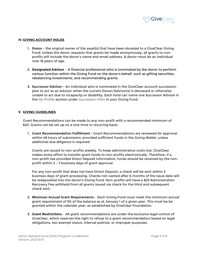

#### **IV.GIVING ACCOUNT ROLES**

- 1. **Donor** the original owner of the asset(s) that have been donated to a GiveClear Giving Fund. Unless the donor requests that grants be made anonymously, all grants to nonprofits will include the donor's name and email address. A donor must be an individual over 18 years of age.
- 2. **Designated Advisor** A financial professional who is nominated by the donor to perform various function within the Giving Fund on the donor's behalf, such as gifting securities, rebalancing investments, and recommending grants**.**
- 3. **Successor Advisor -** An individual who is nominated in the GiveClear account succession plan to act as an Advisor when the current Donor/Advisor(s) is deceased or otherwise unable to act due to incapacity or disability. Each fund can name one Successor Advisor in the *My Profile* section under *Succession Plan* in your Giving Fund.

#### **V. GIVING GUIDELINES**

Grant Recommendations can be made to any non-profit with a recommended minimum of \$20. Grants can be set up on a one-time or recurring basis.

1. **Grant Recommendation Fulfillment -** Grant Recommendations are reviewed for approval within 48 hours of submission, provided sufficient funds in the Giving Wallet, unless additional due diligence is required.

Grants are issued to non-profits weekly. To keep administrative costs low, GiveClear makes every effort to transfer grant funds to non-profits electronically. Therefore, if a non-profit has provided Direct Deposit information, funds should be received by the nonprofit within 2 - 7 business days of grant approval.

For any non-profit that does not have Direct Deposit, a check will be sent within 5 business days of grant processing. Checks not cashed after 6 months of the issue date will be redeposited into the donor's Giving Fund. Non-profits will have a \$25 Administration Recovery Fee withheld from all grants issued via check for the third and subsequent check sent.

- 2. **Minimum Annual Grant Requirements** Each Giving Fund must meet the minimum annual grant requirement of 5% of the balance as at January 1 of a given year. This must be be granted within the calendar year, as established by GiveClear Foundation.
- 3. **Grant Restrictions** All grant recommendations are under the exclusive legal control of GiveClear, which reserves the right to refuse to a grant recommendation based on legal obligations, tax-exempt status, internal policies, or improper purposes.